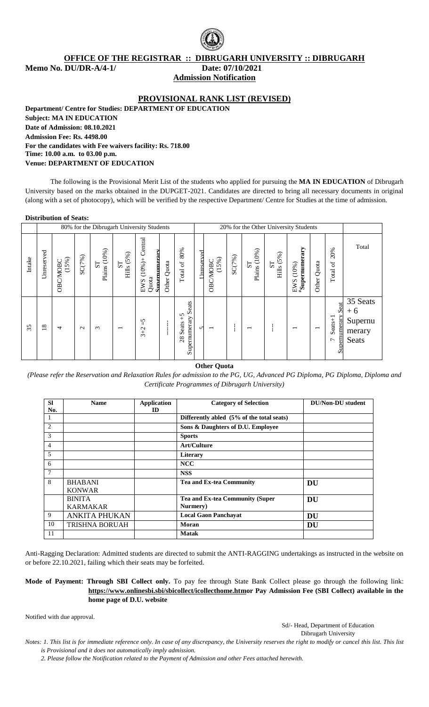

**OFFICE OF THE REGISTRAR :: DIBRUGARH UNIVERSITY :: DIBRUGARH Memo No. DU/DR-A/4-1/ Date: 07/10/2021**

**Admission Notification**

## **PROVISIONAL RANK LIST (REVISED)**

**Department/ Centre for Studies: DEPARTMENT OF EDUCATION Subject: MA IN EDUCATION Date of Admission: 08.10.2021 Admission Fee: Rs. 4498.00 For the candidates with Fee waivers facility: Rs. 718.00 Time: 10.00 a.m. to 03.00 p.m. Venue: DEPARTMENT OF EDUCATION**

The following is the Provisional Merit List of the students who applied for pursuing the **MA IN EDUCATION** of Dibrugarh University based on the marks obtained in the DUPGET-2021. Candidates are directed to bring all necessary documents in original (along with a set of photocopy), which will be verified by the respective Department/ Centre for Studies at the time of admission.

#### **Distribution of Seats:**

|        |                 |                   |                   |                                |                                   | 80% for the Dibrugarh University Students           |             |                                                        |            |                          |        |                                | 20% for the Other University Students |                                                |                          |                                                       |                                                |
|--------|-----------------|-------------------|-------------------|--------------------------------|-----------------------------------|-----------------------------------------------------|-------------|--------------------------------------------------------|------------|--------------------------|--------|--------------------------------|---------------------------------------|------------------------------------------------|--------------------------|-------------------------------------------------------|------------------------------------------------|
| Intake | Unreserved      | (15%)<br>OBC/MOBC | SC(7%)            | Plains (10%)<br>S <sub>T</sub> | (5%)<br>${\bf S}$<br><b>Hills</b> | Central<br>Smernumerarv<br>$(10%)+$<br>Quota<br>EWS | Other Quota | 80%<br>Total of                                        | Unreserved | (15%)<br>OBC/MOBC        | SC(7%) | Plains (10%)<br>S <sub>T</sub> | (5%)<br>ST<br>THIS (5                 | $\mu_{\mathrm{Supernumerary}}$<br>(10%)<br>EWS | Quota<br>Other           | 20%<br>$\sigma$<br>Total                              | Total                                          |
| 35     | $\overline{18}$ | $\overline{4}$    | $\mathbf{\Omega}$ | $\sim$                         | $\overline{\phantom{0}}$          | $\tilde{c}$<br>$3 + 2$                              |             | eats<br>Ō<br>$\zeta_+$<br>Supernumerary<br>Seats<br>28 | $\sqrt{ }$ | $\overline{\phantom{0}}$ |        | $\overline{\phantom{0}}$       |                                       | $\overline{\phantom{0}}$                       | $\overline{\phantom{0}}$ | Seat<br>Supernumerary<br>$S$ eats+1<br>$\overline{ }$ | 35 Seats<br>$+6$<br>Supernu<br>merary<br>Seats |

**Other Quota** 

*(Please refer the Reservation and Relaxation Rules for admission to the PG, UG, Advanced PG Diploma, PG Diploma, Diploma and Certificate Programmes of Dibrugarh University)*

| <b>SI</b><br>No. | <b>Name</b>           | <b>Application</b><br>ID | <b>Category of Selection</b>              | <b>DU/Non-DU</b> student |
|------------------|-----------------------|--------------------------|-------------------------------------------|--------------------------|
| 1                |                       |                          | Differently abled (5% of the total seats) |                          |
| 2                |                       |                          | Sons & Daughters of D.U. Employee         |                          |
| 3                |                       |                          | <b>Sports</b>                             |                          |
| $\overline{4}$   |                       |                          | <b>Art/Culture</b>                        |                          |
| 5                |                       |                          | Literary                                  |                          |
| 6                |                       |                          | <b>NCC</b>                                |                          |
| $7\phantom{.0}$  |                       |                          | <b>NSS</b>                                |                          |
| 8                | <b>BHABANI</b>        |                          | <b>Tea and Ex-tea Community</b>           | DU                       |
|                  | <b>KONWAR</b>         |                          |                                           |                          |
|                  | <b>BINITA</b>         |                          | Tea and Ex-tea Community (Super           | DU                       |
|                  | <b>KARMAKAR</b>       |                          | Nurmery)                                  |                          |
| 9                | <b>ANKITA PHUKAN</b>  |                          | <b>Local Gaon Panchayat</b>               | DU                       |
| 10               | <b>TRISHNA BORUAH</b> |                          | Moran                                     | DU                       |
| 11               |                       |                          | <b>Matak</b>                              |                          |

Anti-Ragging Declaration: Admitted students are directed to submit the ANTI-RAGGING undertakings as instructed in the website on or before 22.10.2021, failing which their seats may be forfeited.

**Mode of Payment: Through SBI Collect only.** To pay fee through State Bank Collect please go through the following link: **[https://www.onlinesbi.sbi/sbicollect/icollecthome.htmo](https://www.onlinesbi.sbi/sbicollect/icollecthome.htm)r Pay Admission Fee (SBI Collect) available in the home page of D.U. website**

Notified with due approval.

Sd/- Head, Department of Education

Dibrugarh University

*Notes: 1. This list is for immediate reference only. In case of any discrepancy, the University reserves the right to modify or cancel this list. This list is Provisional and it does not automatically imply admission.*

*2. Please follow the Notification related to the Payment of Admission and other Fees attached herewith.*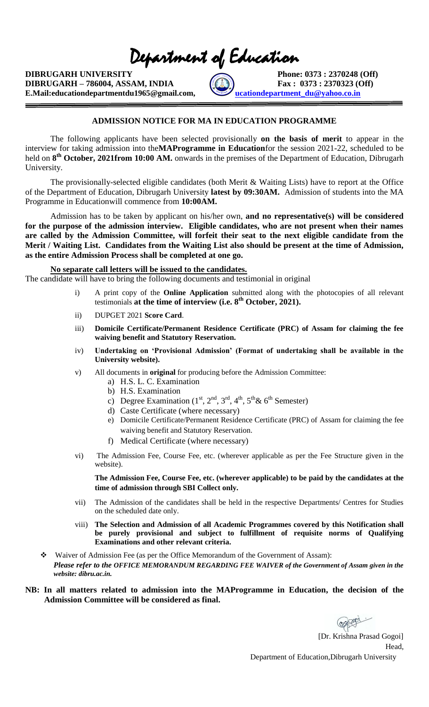Department of Education

**DIBRUGARH UNIVERSITY** Phone: 0373 : 2370248 (Off) **DIBRUGARH – 786004, ASSAM, INDIA**  $\begin{bmatrix} 0 & 0 \\ 0 & 1 \end{bmatrix}$  **Fax** : 0373 : 2370323 (Off) **E.Mail:educationdepartmentdu1965@gmail.com, [educationdepartment\\_du@yahoo.co.in](mailto:educationdepartment_du@yahoo.co.in)** 



## **ADMISSION NOTICE FOR MA IN EDUCATION PROGRAMME**

The following applicants have been selected provisionally **on the basis of merit** to appear in the interview for taking admission into the**MAProgramme in Education**for the session 2021-22, scheduled to be held on 8<sup>th</sup> October, 2021from 10:00 AM. onwards in the premises of the Department of Education, Dibrugarh University.

The provisionally-selected eligible candidates (both Merit & Waiting Lists) have to report at the Office of the Department of Education, Dibrugarh University **latest by 09:30AM.** Admission of students into the MA Programme in Educationwill commence from **10:00AM.** 

Admission has to be taken by applicant on his/her own, **and no representative(s) will be considered for the purpose of the admission interview. Eligible candidates, who are not present when their names are called by the Admission Committee, will forfeit their seat to the next eligible candidate from the Merit / Waiting List. Candidates from the Waiting List also should be present at the time of Admission, as the entire Admission Process shall be completed at one go.** 

#### **No separate call letters will be issued to the candidates.**

The candidate will have to bring the following documents and testimonial in original

- i) A print copy of the **Online Application** submitted along with the photocopies of all relevant testimonials **at the time of interview (i.e. 8th October, 2021).**
- ii) DUPGET 2021 **Score Card**.
- iii) **Domicile Certificate/Permanent Residence Certificate (PRC) of Assam for claiming the fee waiving benefit and Statutory Reservation.**
- iv) **Undertaking on 'Provisional Admission' (Format of undertaking shall be available in the University website).**
- v) All documents in **original** for producing before the Admission Committee:
	- a) H.S. L. C. Examination
	- b) H.S. Examination
	- c) Degree Examination  $(1<sup>st</sup>, 2<sup>nd</sup>, 3<sup>rd</sup>, 4<sup>th</sup>, 5<sup>th</sup>& 6<sup>th</sup> Semester)$
	- d) Caste Certificate (where necessary)
	- e) Domicile Certificate/Permanent Residence Certificate (PRC) of Assam for claiming the fee waiving benefit and Statutory Reservation.
	- f) Medical Certificate (where necessary)
- vi) The Admission Fee, Course Fee, etc. (wherever applicable as per the Fee Structure given in the website).

**The Admission Fee, Course Fee, etc. (wherever applicable) to be paid by the candidates at the time of admission through SBI Collect only.**

- vii) The Admission of the candidates shall be held in the respective Departments/ Centres for Studies on the scheduled date only.
- viii) **The Selection and Admission of all Academic Programmes covered by this Notification shall be purely provisional and subject to fulfillment of requisite norms of Qualifying Examinations and other relevant criteria.**
- Waiver of Admission Fee (as per the Office Memorandum of the Government of Assam): *Please refer to the OFFICE MEMORANDUM REGARDING FEE WAIVER of the Government of Assam given in the website: dibru.ac.in.*

## **NB: In all matters related to admission into the MAProgramme in Education, the decision of the Admission Committee will be considered as final.**

 [Dr. Krishna Prasad Gogoi] Head, Department of Education,Dibrugarh University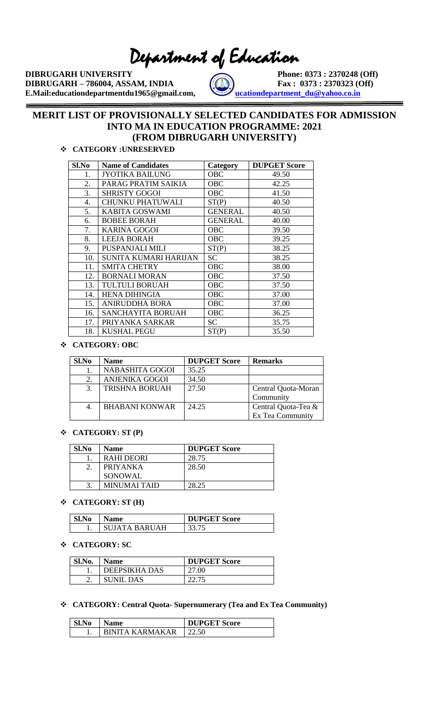Department of Education

**DIBRUGARH UNIVERSITY** Phone: 0373 : 2370248 (Off) **DIBRUGARH – 786004, ASSAM, INDIA**  $\left(\begin{matrix} 0 & 0 \\ 0 & 1 \end{matrix}\right)$  **Fax** : 0373 : 2370323 (Off) **E.Mail:educationdepartmentdu1965@gmail.com, [educationdepartment\\_du@yahoo.co.in](mailto:educationdepartment_du@yahoo.co.in)** 



## **MERIT LIST OF PROVISIONALLY SELECTED CANDIDATES FOR ADMISSION INTO MA IN EDUCATION PROGRAMME: 2021 (FROM DIBRUGARH UNIVERSITY)**

## **CATEGORY :UNRESERVED**

| Sl.No | <b>Name of Candidates</b> | Category       | <b>DUPGET Score</b> |
|-------|---------------------------|----------------|---------------------|
| 1.    | JYOTIKA BAILUNG           | <b>OBC</b>     | 49.50               |
| 2.    | PARAG PRATIM SAIKIA       | OBC            | 42.25               |
| 3.    | <b>SHRISTY GOGOI</b>      | <b>OBC</b>     | 41.50               |
| 4.    | <b>CHUNKU PHATUWALI</b>   | ST(P)          | 40.50               |
| 5.    | KABITA GOSWAMI            | <b>GENERAL</b> | 40.50               |
| 6.    | <b>BOBEE BORAH</b>        | <b>GENERAL</b> | 40.00               |
| 7.    | <b>KARINA GOGOI</b>       | <b>OBC</b>     | 39.50               |
| 8.    | <b>LEEJA BORAH</b>        | <b>OBC</b>     | 39.25               |
| 9.    | PUSPANJALI MILI           | ST(P)          | 38.25               |
| 10.   | SUNITA KUMARI HARIJAN     | <b>SC</b>      | 38.25               |
| 11.   | <b>SMITA CHETRY</b>       | OBC            | 38.00               |
| 12.   | <b>BORNALI MORAN</b>      | OBC            | 37.50               |
| 13.   | <b>TULTULI BORUAH</b>     | OBC            | 37.50               |
| 14.   | <b>HENA DIHINGIA</b>      | OBC            | 37.00               |
| 15.   | <b>ANIRUDDHA BORA</b>     | OBC            | 37.00               |
| 16.   | <b>SANCHAYITA BORUAH</b>  | OBC            | 36.25               |
| 17.   | PRIYANKA SARKAR           | SС             | 35.75               |
| 18.   | <b>KUSHAL PEGU</b>        | ST(P)          | 35.50               |

## **CATEGORY: OBC**

| Sl.No | <b>Name</b>            | <b>DUPGET Score</b> | <b>Remarks</b>      |
|-------|------------------------|---------------------|---------------------|
|       | <b>NABASHITA GOGOI</b> | 35.25               |                     |
|       | <b>ANJENIKA GOGOI</b>  | 34.50               |                     |
| 3.    | TRISHNA BORUAH         | 27.50               | Central Quota-Moran |
|       |                        |                     | Community           |
|       | <b>BHABANI KONWAR</b>  | 24.25               | Central Quota-Tea & |
|       |                        |                     | Ex Tea Community    |

## **CATEGORY: ST (P)**

| Sl.No         | <b>Name</b>         | <b>DUPGET Score</b> |
|---------------|---------------------|---------------------|
|               | RAHI DEORI          | 28.75               |
| $\mathcal{D}$ | <b>PRIYANKA</b>     | 28.50               |
|               | SONOWAL             |                     |
| 2             | <b>MINUMAI TAID</b> | 28.25               |

## **CATEGORY: ST (H)**

| Sl.No | <b>Name</b>   | <b>DUPGET Score</b> |
|-------|---------------|---------------------|
|       | SUJATA BARUAH | 33.75               |

### **CATEGORY: SC**

| Sl.No. | <b>Name</b>      | <b>DUPGET Score</b> |
|--------|------------------|---------------------|
|        | DEEPSIKHA DAS    | 27.00               |
| ۷.     | <b>SUNIL DAS</b> |                     |

## **CATEGORY: Central Quota- Supernumerary (Tea and Ex Tea Community)**

| Sl.No | 1 Name          | <b>DUPGET Score</b> |
|-------|-----------------|---------------------|
|       | RINITA KARMAKAR |                     |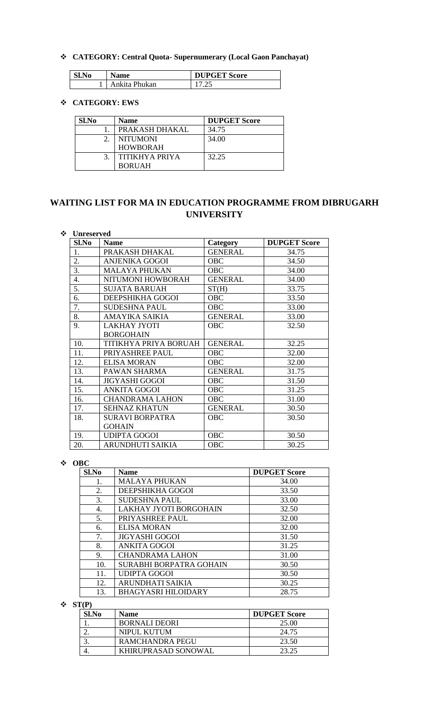## **CATEGORY: Central Quota- Supernumerary (Local Gaon Panchayat)**

| Sl.No | <b>Name</b>   | <b>DUPGET Score</b> |
|-------|---------------|---------------------|
|       | Ankita Phukan | ت ک                 |

## **CATEGORY: EWS**

| Sl.No | Name            | <b>DUPGET Score</b> |
|-------|-----------------|---------------------|
|       | PRAKASH DHAKAL  | 34.75               |
|       | <b>NITUMONI</b> | 34.00               |
|       | <b>HOWBORAH</b> |                     |
|       | TITIKHYA PRIYA  | 32.25               |
|       | <b>BORUAH</b>   |                     |

# **WAITING LIST FOR MA IN EDUCATION PROGRAMME FROM DIBRUGARH UNIVERSITY**

## **Unreserved**

| Sl.No | <b>Name</b>            | Category       | <b>DUPGET Score</b> |
|-------|------------------------|----------------|---------------------|
| 1.    | PRAKASH DHAKAL         | <b>GENERAL</b> | 34.75               |
| 2.    | <b>ANJENIKA GOGOI</b>  | <b>OBC</b>     | 34.50               |
| 3.    | <b>MALAYA PHUKAN</b>   | <b>OBC</b>     | 34.00               |
| 4.    | NITUMONI HOWBORAH      | <b>GENERAL</b> | 34.00               |
| 5.    | <b>SUJATA BARUAH</b>   | ST(H)          | 33.75               |
| 6.    | DEEPSHIKHA GOGOI       | <b>OBC</b>     | 33.50               |
| 7.    | <b>SUDESHNA PAUL</b>   | <b>OBC</b>     | 33.00               |
| 8.    | AMAYIKA SAIKIA         | <b>GENERAL</b> | 33.00               |
| 9.    | <b>LAKHAY JYOTI</b>    | OBC            | 32.50               |
|       | <b>BORGOHAIN</b>       |                |                     |
| 10.   | TITIKHYA PRIYA BORUAH  | <b>GENERAL</b> | 32.25               |
| 11.   | PRIYASHREE PAUL        | <b>OBC</b>     | 32.00               |
| 12.   | <b>ELISA MORAN</b>     | <b>OBC</b>     | 32.00               |
| 13.   | PAWAN SHARMA           | <b>GENERAL</b> | 31.75               |
| 14.   | <b>JIGYASHI GOGOI</b>  | OBC            | 31.50               |
| 15.   | <b>ANKITA GOGOI</b>    | <b>OBC</b>     | 31.25               |
| 16.   | <b>CHANDRAMA LAHON</b> | OBC            | 31.00               |
| 17.   | <b>SEHNAZ KHATUN</b>   | <b>GENERAL</b> | 30.50               |
| 18.   | <b>SURAVI BORPATRA</b> | OBC            | 30.50               |
|       | <b>GOHAIN</b>          |                |                     |
| 19.   | <b>UDIPTA GOGOI</b>    | <b>OBC</b>     | 30.50               |
| 20.   | ARUNDHUTI SAIKIA       | OBC            | 30.25               |

## **OBC**

| S1.No | <b>Name</b>                   | <b>DUPGET Score</b> |
|-------|-------------------------------|---------------------|
| 1.    | <b>MALAYA PHUKAN</b>          | 34.00               |
| 2.    | DEEPSHIKHA GOGOI              | 33.50               |
| 3.    | <b>SUDESHNA PAUL</b>          | 33.00               |
| 4.    | <b>LAKHAY JYOTI BORGOHAIN</b> | 32.50               |
| 5.    | PRIYASHREE PAUL               | 32.00               |
| 6.    | <b>ELISA MORAN</b>            | 32.00               |
| 7.    | <b>JIGYASHI GOGOI</b>         | 31.50               |
| 8.    | <b>ANKITA GOGOI</b>           | 31.25               |
| 9.    | <b>CHANDRAMA LAHON</b>        | 31.00               |
| 10.   | SURABHI BORPATRA GOHAIN       | 30.50               |
| 11.   | <b>UDIPTA GOGOI</b>           | 30.50               |
| 12.   | ARUNDHATI SAIKIA              | 30.25               |
| 13.   | <b>BHAGYASRI HILOIDARY</b>    | 28.75               |

 $\mathbf{\hat{S}}$  ST(P)

| Sl.No | <b>Name</b>          | <b>DUPGET Score</b> |
|-------|----------------------|---------------------|
|       | <b>BORNALI DEORI</b> | 25.00               |
|       | NIPUL KUTUM          | 24.75               |
|       | RAMCHANDRA PEGU      | 23.50               |
|       | KHIRUPRASAD SONOWAL  | 23.25               |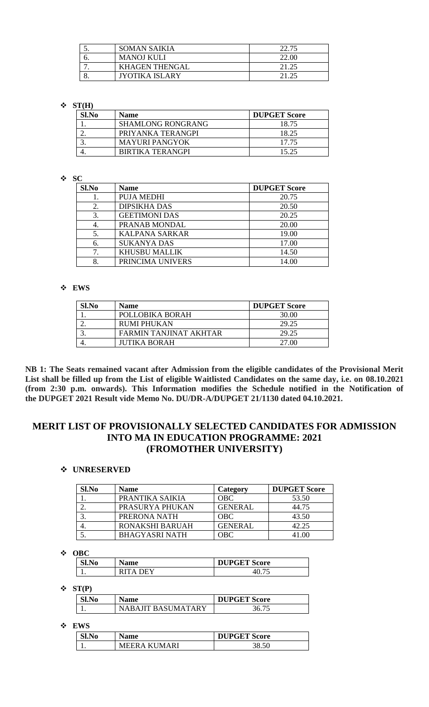| J.                       | <b>SOMAN SAIKIA</b>   | 22.75 |
|--------------------------|-----------------------|-------|
|                          | <b>MANOJ KULI</b>     | 22.00 |
| $\overline{\phantom{a}}$ | <b>KHAGEN THENGAL</b> |       |
|                          | JYOTIKA ISLARY        |       |

## $\div$  ST(H)

| Sl.No | <b>Name</b>              | <b>DUPGET Score</b> |
|-------|--------------------------|---------------------|
|       | <b>SHAMLONG RONGRANG</b> | 18.75               |
| ـ.    | PRIYANKA TERANGPI        | 18.25               |
|       | <b>MAYURI PANGYOK</b>    | 17.75               |
|       | <b>BIRTIKA TERANGPI</b>  | 15.25               |

## **SC**

| Sl.No | <b>Name</b>           | <b>DUPGET Score</b> |
|-------|-----------------------|---------------------|
|       | <b>PUJA MEDHI</b>     | 20.75               |
| 2.    | <b>DIPSIKHA DAS</b>   | 20.50               |
| 3.    | <b>GEETIMONI DAS</b>  | 20.25               |
|       | PRANAB MONDAL         | 20.00               |
|       | <b>KALPANA SARKAR</b> | 19.00               |
| 6.    | <b>SUKANYA DAS</b>    | 17.00               |
|       | <b>KHUSBU MALLIK</b>  | 14.50               |
|       | PRINCIMA UNIVERS      | 14.00               |

## **EWS**

| Sl.No | <b>Name</b>            | <b>DUPGET Score</b> |
|-------|------------------------|---------------------|
|       | POLLOBIKA BORAH        | 30.00               |
|       | RUMI PHUKAN            | 29.25               |
|       | FARMIN TANJINAT AKHTAR | 29.25               |
|       | JUTIKA BORAH           | 27.00               |

**NB 1: The Seats remained vacant after Admission from the eligible candidates of the Provisional Merit List shall be filled up from the List of eligible Waitlisted Candidates on the same day, i.e. on 08.10.2021 (from 2:30 p.m. onwards). This Information modifies the Schedule notified in the Notification of the DUPGET 2021 Result vide Memo No. DU/DR-A/DUPGET 21/1130 dated 04.10.2021.**

## **MERIT LIST OF PROVISIONALLY SELECTED CANDIDATES FOR ADMISSION INTO MA IN EDUCATION PROGRAMME: 2021 (FROMOTHER UNIVERSITY)**

## **UNRESERVED**

| Sl.No | <b>Name</b>           | Category       | <b>DUPGET Score</b> |
|-------|-----------------------|----------------|---------------------|
|       | PRANTIKA SAIKIA       | <b>OBC</b>     | 53.50               |
| ـ.    | PRASURYA PHUKAN       | <b>GENERAL</b> | 44.75               |
| 3.    | PRERONA NATH          | <b>OBC</b>     | 43.50               |
|       | RONAKSHI BARUAH       | <b>GENERAL</b> | 42.25               |
|       | <b>BHAGYASRI NATH</b> | OBC-           | 41.00               |

**OBC**

| vv                             |             |                     |  |
|--------------------------------|-------------|---------------------|--|
| $\mathbf{C}$ l, $\mathbf{N_0}$ | <b>Name</b> | <b>DUPGET Score</b> |  |
| . .                            | DEY<br>Δ    |                     |  |

 $\div$  ST(P)

| N0. | Name               | <b>DUPGET Score</b> |
|-----|--------------------|---------------------|
|     | NARAJIT RASUMATARY |                     |

**EWS**

| Sl.No | Name         | <b>DUPGET Score</b> |
|-------|--------------|---------------------|
|       | MEERA KUMARI | 38.50               |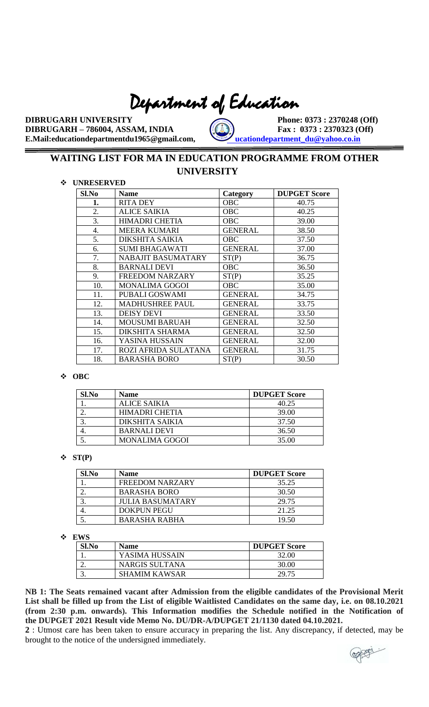# Department of Education

**DIBRUGARH UNIVERSITY** Phone: 0373 : 2370248 (Off) **DIBRUGARH – 786004, ASSAM, INDIA**  $\left(\begin{matrix} 0 & 0 \\ 0 & 1 \end{matrix}\right)$  **Fax** : 0373 : 2370323 (Off) **E.Mail:educationdepartmentdu1965@gmail.com, [educationdepartment\\_du@yahoo.co.in](mailto:educationdepartment_du@yahoo.co.in)** 

# **WAITING LIST FOR MA IN EDUCATION PROGRAMME FROM OTHER UNIVERSITY**

## **UNRESERVED**

| Sl.No            | <b>Name</b>               | Category       | <b>DUPGET Score</b> |
|------------------|---------------------------|----------------|---------------------|
| 1.               | <b>RITA DEY</b>           | OBC            | 40.75               |
| 2.               | <b>ALICE SAIKIA</b>       | <b>OBC</b>     | 40.25               |
| 3.               | <b>HIMADRI CHETIA</b>     | <b>OBC</b>     | 39.00               |
| $\overline{4}$ . | <b>MEERA KUMARI</b>       | <b>GENERAL</b> | 38.50               |
| 5.               | DIKSHITA SAIKIA           | <b>OBC</b>     | 37.50               |
| 6.               | <b>SUMI BHAGAWATI</b>     | <b>GENERAL</b> | 37.00               |
| 7.               | <b>NABAJIT BASUMATARY</b> | ST(P)          | 36.75               |
| 8.               | <b>BARNALI DEVI</b>       | OBC            | 36.50               |
| 9.               | FREEDOM NARZARY           | ST(P)          | 35.25               |
| 10.              | <b>MONALIMA GOGOI</b>     | <b>OBC</b>     | 35.00               |
| 11.              | PUBALI GOSWAMI            | <b>GENERAL</b> | 34.75               |
| 12.              | <b>MADHUSHREE PAUL</b>    | <b>GENERAL</b> | 33.75               |
| 13.              | <b>DEISY DEVI</b>         | <b>GENERAL</b> | 33.50               |
| 14.              | <b>MOUSUMI BARUAH</b>     | <b>GENERAL</b> | 32.50               |
| 15.              | <b>DIKSHITA SHARMA</b>    | <b>GENERAL</b> | 32.50               |
| 16.              | YASINA HUSSAIN            | <b>GENERAL</b> | 32.00               |
| 17.              | ROZI AFRIDA SULATANA      | <b>GENERAL</b> | 31.75               |
| 18.              | <b>BARASHA BORO</b>       | ST(P)          | 30.50               |

## **OBC**

| Sl.No             | <b>Name</b>            | <b>DUPGET Score</b> |
|-------------------|------------------------|---------------------|
|                   | ALICE SAIKIA           | 40.25               |
| ,.                | HIMADRI CHETIA         | 39.00               |
| $\mathbf{\Omega}$ | <b>DIKSHITA SAIKIA</b> | 37.50               |
|                   | <b>BARNALI DEVI</b>    | 36.50               |
|                   | <b>MONALIMA GOGOI</b>  | 35.00               |

#### $\div$  ST(P)

| Sl.No | <b>Name</b>             | <b>DUPGET Score</b> |
|-------|-------------------------|---------------------|
|       | <b>FREEDOM NARZARY</b>  | 35.25               |
|       | <b>BARASHA BORO</b>     | 30.50               |
|       | <b>JULIA BASUMATARY</b> | 29.75               |
|       | <b>DOKPUN PEGU</b>      | 21.25               |
|       | BARASHA RABHA           | 19.50               |

#### **EWS**

| L VV 19 |                      |                     |
|---------|----------------------|---------------------|
| Sl.No   | <b>Name</b>          | <b>DUPGET Score</b> |
|         | YASIMA HUSSAIN       | 32.00               |
|         | NARGIS SULTANA       | 30.00               |
|         | <b>SHAMIM KAWSAR</b> | 29.75               |

**NB 1: The Seats remained vacant after Admission from the eligible candidates of the Provisional Merit List shall be filled up from the List of eligible Waitlisted Candidates on the same day, i.e. on 08.10.2021 (from 2:30 p.m. onwards). This Information modifies the Schedule notified in the Notification of the DUPGET 2021 Result vide Memo No. DU/DR-A/DUPGET 21/1130 dated 04.10.2021.**

**2** : Utmost care has been taken to ensure accuracy in preparing the list. Any discrepancy, if detected, may be brought to the notice of the undersigned immediately.